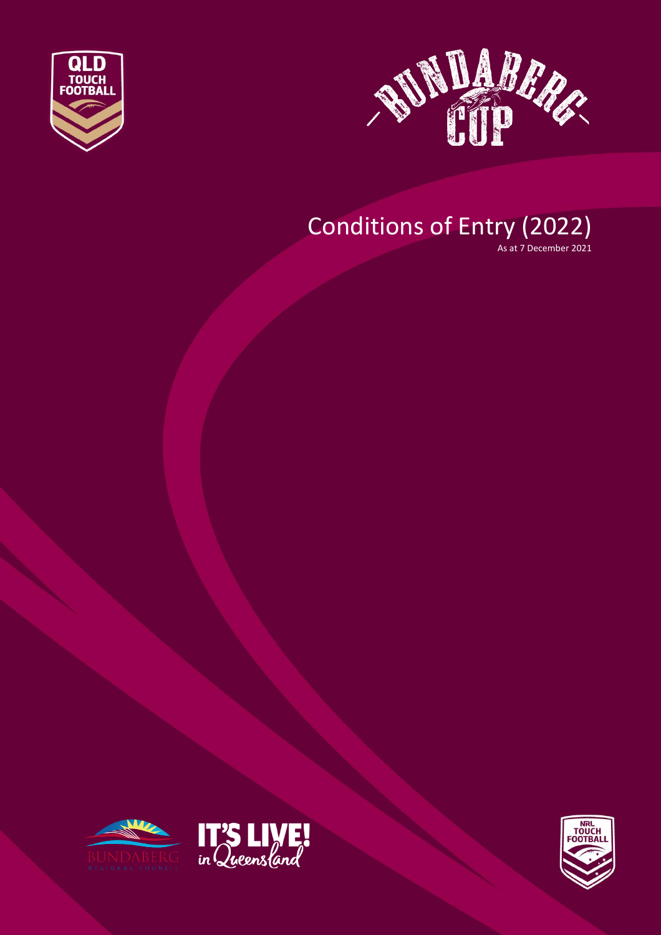



# Conditions of Entry (2022)

As at 7 December 2021





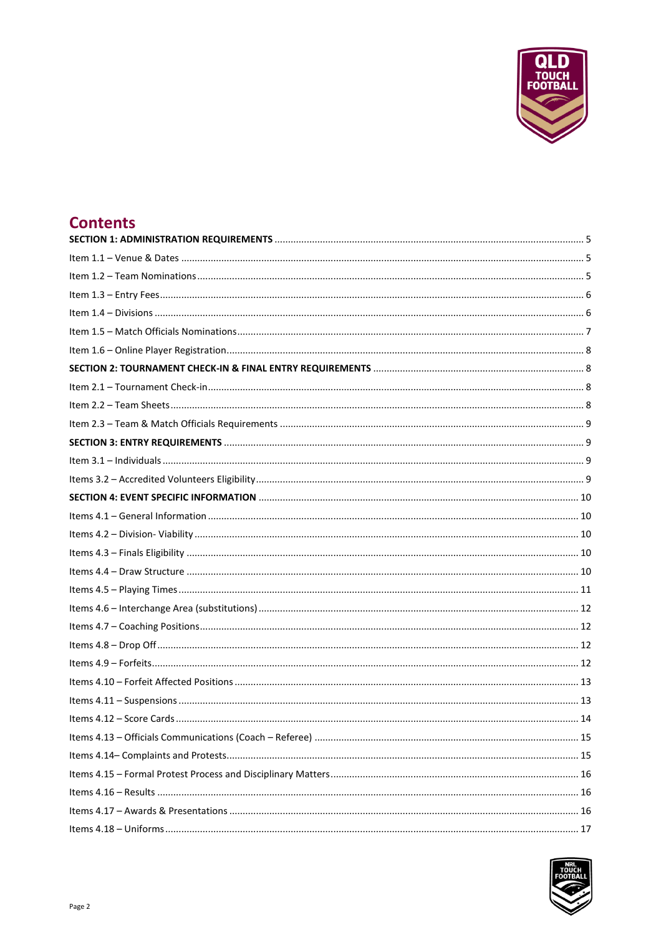

### **Contents**

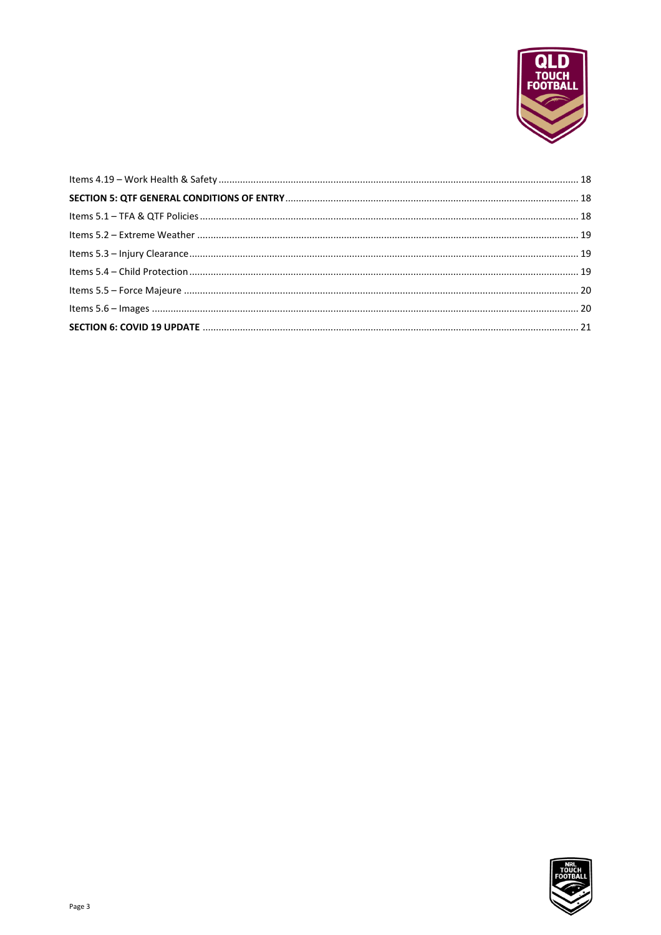

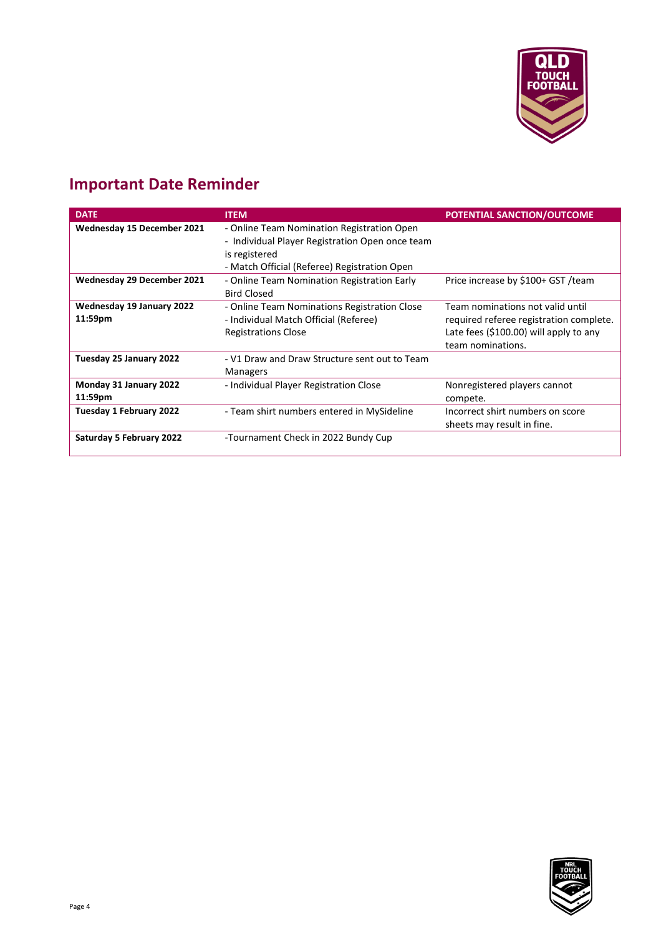

## **Important Date Reminder**

| <b>DATE</b>                          | <b>ITEM</b>                                                                                                                                                    | POTENTIAL SANCTION/OUTCOME                                                                                                                 |
|--------------------------------------|----------------------------------------------------------------------------------------------------------------------------------------------------------------|--------------------------------------------------------------------------------------------------------------------------------------------|
| Wednesday 15 December 2021           | - Online Team Nomination Registration Open<br>- Individual Player Registration Open once team<br>is registered<br>- Match Official (Referee) Registration Open |                                                                                                                                            |
| Wednesday 29 December 2021           | - Online Team Nomination Registration Early<br><b>Bird Closed</b>                                                                                              | Price increase by \$100+ GST /team                                                                                                         |
| Wednesday 19 January 2022<br>11:59pm | - Online Team Nominations Registration Close<br>- Individual Match Official (Referee)<br><b>Registrations Close</b>                                            | Team nominations not valid until<br>required referee registration complete.<br>Late fees (\$100.00) will apply to any<br>team nominations. |
| Tuesday 25 January 2022              | - V1 Draw and Draw Structure sent out to Team<br>Managers                                                                                                      |                                                                                                                                            |
| Monday 31 January 2022<br>11:59pm    | - Individual Player Registration Close                                                                                                                         | Nonregistered players cannot<br>compete.                                                                                                   |
| Tuesday 1 February 2022              | - Team shirt numbers entered in MySideline                                                                                                                     | Incorrect shirt numbers on score<br>sheets may result in fine.                                                                             |
| <b>Saturday 5 February 2022</b>      | -Tournament Check in 2022 Bundy Cup                                                                                                                            |                                                                                                                                            |

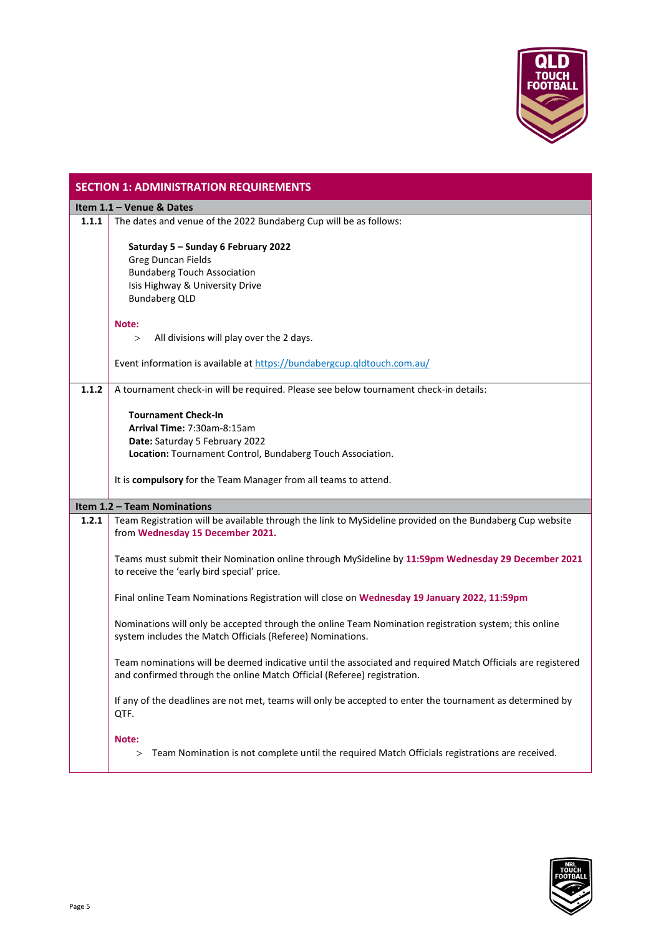

<span id="page-4-2"></span><span id="page-4-1"></span><span id="page-4-0"></span>

|       | <b>SECTION 1: ADMINISTRATION REQUIREMENTS</b>                                                               |  |  |
|-------|-------------------------------------------------------------------------------------------------------------|--|--|
|       | Item 1.1 - Venue & Dates                                                                                    |  |  |
| 1.1.1 | The dates and venue of the 2022 Bundaberg Cup will be as follows:                                           |  |  |
|       |                                                                                                             |  |  |
|       | Saturday 5 - Sunday 6 February 2022                                                                         |  |  |
|       | <b>Greg Duncan Fields</b>                                                                                   |  |  |
|       | <b>Bundaberg Touch Association</b>                                                                          |  |  |
|       | Isis Highway & University Drive                                                                             |  |  |
|       | <b>Bundaberg QLD</b>                                                                                        |  |  |
|       | Note:                                                                                                       |  |  |
|       | All divisions will play over the 2 days.<br>$\geq$                                                          |  |  |
|       |                                                                                                             |  |  |
|       | Event information is available at https://bundabergcup.qldtouch.com.au/                                     |  |  |
|       |                                                                                                             |  |  |
| 1.1.2 | A tournament check-in will be required. Please see below tournament check-in details:                       |  |  |
|       | <b>Tournament Check-In</b>                                                                                  |  |  |
|       | Arrival Time: 7:30am-8:15am                                                                                 |  |  |
|       | Date: Saturday 5 February 2022                                                                              |  |  |
|       | Location: Tournament Control, Bundaberg Touch Association.                                                  |  |  |
|       |                                                                                                             |  |  |
|       | It is compulsory for the Team Manager from all teams to attend.                                             |  |  |
|       |                                                                                                             |  |  |
|       | <b>Item 1.2 - Team Nominations</b>                                                                          |  |  |
| 1.2.1 | Team Registration will be available through the link to MySideline provided on the Bundaberg Cup website    |  |  |
|       | from Wednesday 15 December 2021.                                                                            |  |  |
|       |                                                                                                             |  |  |
|       | Teams must submit their Nomination online through MySideline by 11:59pm Wednesday 29 December 2021          |  |  |
|       | to receive the 'early bird special' price.                                                                  |  |  |
|       | Final online Team Nominations Registration will close on Wednesday 19 January 2022, 11:59pm                 |  |  |
|       |                                                                                                             |  |  |
|       | Nominations will only be accepted through the online Team Nomination registration system; this online       |  |  |
|       | system includes the Match Officials (Referee) Nominations.                                                  |  |  |
|       |                                                                                                             |  |  |
|       | Team nominations will be deemed indicative until the associated and required Match Officials are registered |  |  |
|       | and confirmed through the online Match Official (Referee) registration.                                     |  |  |
|       | If any of the deadlines are not met, teams will only be accepted to enter the tournament as determined by   |  |  |
|       | QTF.                                                                                                        |  |  |
|       |                                                                                                             |  |  |
|       | Note:                                                                                                       |  |  |
|       | Team Nomination is not complete until the required Match Officials registrations are received.<br>>         |  |  |
|       |                                                                                                             |  |  |

<span id="page-4-3"></span>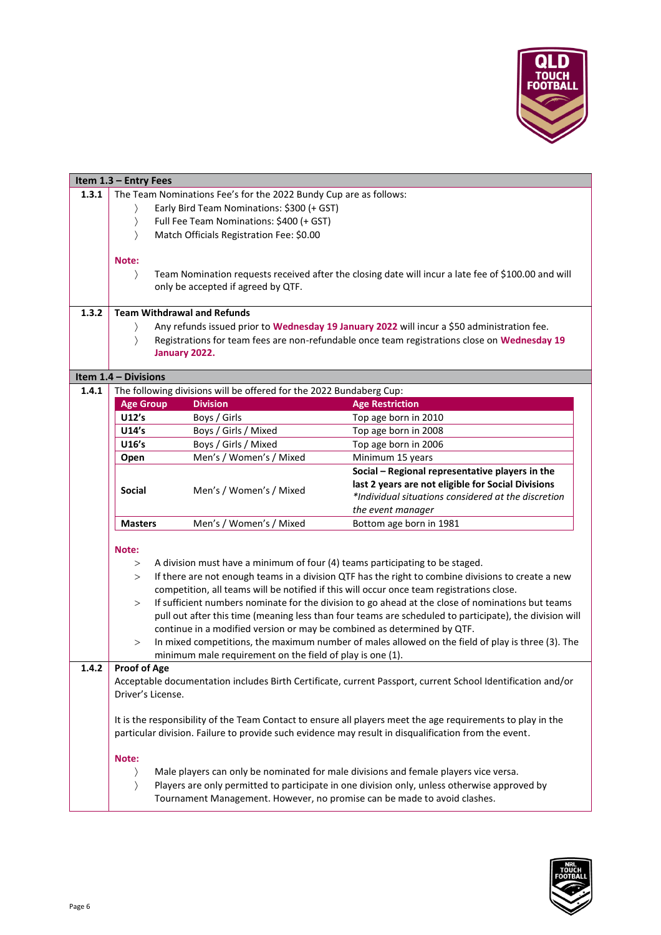

<span id="page-5-0"></span>

|       | Item 1.3 - Entry Fees                                             |                                                                                                      |                                                                                                             |
|-------|-------------------------------------------------------------------|------------------------------------------------------------------------------------------------------|-------------------------------------------------------------------------------------------------------------|
| 1.3.1 | The Team Nominations Fee's for the 2022 Bundy Cup are as follows: |                                                                                                      |                                                                                                             |
|       |                                                                   | Early Bird Team Nominations: \$300 (+ GST)                                                           |                                                                                                             |
|       | $\rangle$                                                         | Full Fee Team Nominations: \$400 (+ GST)                                                             |                                                                                                             |
|       | $\left\langle \right\rangle$                                      | Match Officials Registration Fee: \$0.00                                                             |                                                                                                             |
|       |                                                                   |                                                                                                      |                                                                                                             |
|       | Note:                                                             |                                                                                                      |                                                                                                             |
|       | $\rangle$                                                         |                                                                                                      | Team Nomination requests received after the closing date will incur a late fee of \$100.00 and will         |
|       |                                                                   | only be accepted if agreed by QTF.                                                                   |                                                                                                             |
|       |                                                                   |                                                                                                      |                                                                                                             |
| 1.3.2 |                                                                   | <b>Team Withdrawal and Refunds</b>                                                                   |                                                                                                             |
|       |                                                                   |                                                                                                      | Any refunds issued prior to Wednesday 19 January 2022 will incur a \$50 administration fee.                 |
|       | $\mathcal{E}$                                                     |                                                                                                      | Registrations for team fees are non-refundable once team registrations close on Wednesday 19                |
|       |                                                                   | January 2022.                                                                                        |                                                                                                             |
|       | Item 1.4 - Divisions                                              |                                                                                                      |                                                                                                             |
| 1.4.1 |                                                                   | The following divisions will be offered for the 2022 Bundaberg Cup:                                  |                                                                                                             |
|       | <b>Age Group</b>                                                  | <b>Division</b>                                                                                      | <b>Age Restriction</b>                                                                                      |
|       | U12's                                                             | Boys / Girls                                                                                         | Top age born in 2010                                                                                        |
|       | U14's                                                             | Boys / Girls / Mixed                                                                                 | Top age born in 2008                                                                                        |
|       | U16's                                                             | Boys / Girls / Mixed                                                                                 | Top age born in 2006                                                                                        |
|       | Open                                                              | Men's / Women's / Mixed                                                                              | Minimum 15 years                                                                                            |
|       |                                                                   |                                                                                                      | Social - Regional representative players in the                                                             |
|       |                                                                   |                                                                                                      | last 2 years are not eligible for Social Divisions                                                          |
|       | <b>Social</b>                                                     | Men's / Women's / Mixed                                                                              | *Individual situations considered at the discretion                                                         |
|       |                                                                   |                                                                                                      | the event manager                                                                                           |
|       | <b>Masters</b>                                                    | Men's / Women's / Mixed                                                                              | Bottom age born in 1981                                                                                     |
|       |                                                                   |                                                                                                      |                                                                                                             |
|       | Note:                                                             |                                                                                                      |                                                                                                             |
|       | >                                                                 | A division must have a minimum of four (4) teams participating to be staged.                         |                                                                                                             |
|       | >                                                                 |                                                                                                      | If there are not enough teams in a division QTF has the right to combine divisions to create a new          |
|       |                                                                   | competition, all teams will be notified if this will occur once team registrations close.            |                                                                                                             |
|       | >                                                                 |                                                                                                      | If sufficient numbers nominate for the division to go ahead at the close of nominations but teams           |
|       |                                                                   |                                                                                                      | pull out after this time (meaning less than four teams are scheduled to participate), the division will     |
|       |                                                                   | continue in a modified version or may be combined as determined by QTF.                              |                                                                                                             |
|       | $\rm{>}$                                                          |                                                                                                      | In mixed competitions, the maximum number of males allowed on the field of play is three (3). The           |
|       |                                                                   | minimum male requirement on the field of play is one (1).                                            |                                                                                                             |
| 1.4.2 | <b>Proof of Age</b>                                               |                                                                                                      |                                                                                                             |
|       |                                                                   |                                                                                                      | Acceptable documentation includes Birth Certificate, current Passport, current School Identification and/or |
|       | Driver's License.                                                 |                                                                                                      |                                                                                                             |
|       |                                                                   |                                                                                                      |                                                                                                             |
|       |                                                                   |                                                                                                      | It is the responsibility of the Team Contact to ensure all players meet the age requirements to play in the |
|       |                                                                   | particular division. Failure to provide such evidence may result in disqualification from the event. |                                                                                                             |
|       |                                                                   |                                                                                                      |                                                                                                             |
|       | Note:                                                             |                                                                                                      |                                                                                                             |
|       |                                                                   | Male players can only be nominated for male divisions and female players vice versa.                 |                                                                                                             |
|       | $\rangle$                                                         |                                                                                                      | Players are only permitted to participate in one division only, unless otherwise approved by                |
|       |                                                                   | Tournament Management. However, no promise can be made to avoid clashes.                             |                                                                                                             |

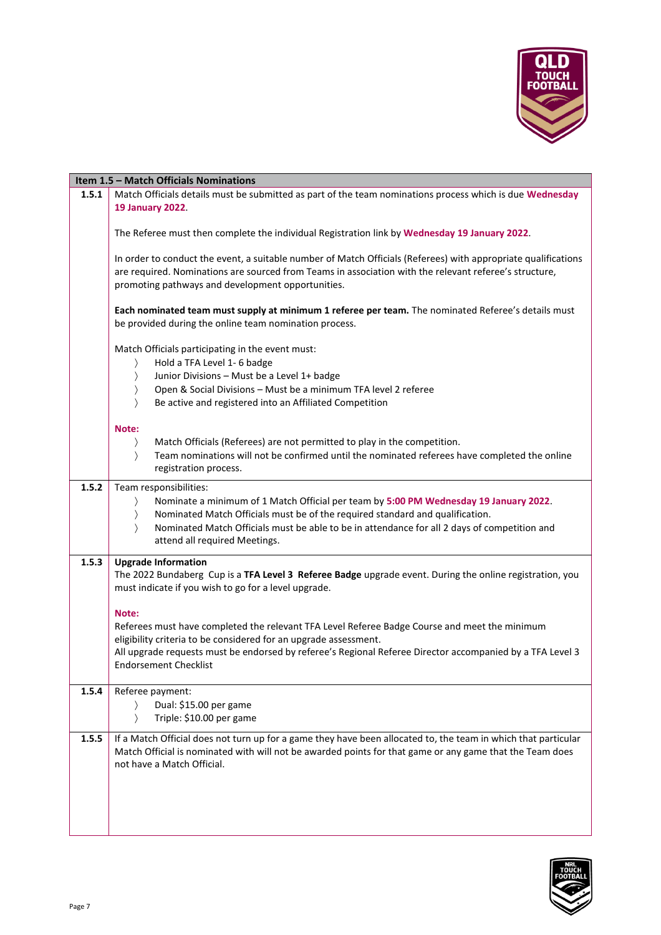

<span id="page-6-0"></span>

|       | Item 1.5 - Match Officials Nominations                                                                                                                                                                                                                                        |
|-------|-------------------------------------------------------------------------------------------------------------------------------------------------------------------------------------------------------------------------------------------------------------------------------|
| 1.5.1 | Match Officials details must be submitted as part of the team nominations process which is due Wednesday<br><b>19 January 2022.</b>                                                                                                                                           |
|       | The Referee must then complete the individual Registration link by Wednesday 19 January 2022.                                                                                                                                                                                 |
|       | In order to conduct the event, a suitable number of Match Officials (Referees) with appropriate qualifications<br>are required. Nominations are sourced from Teams in association with the relevant referee's structure,<br>promoting pathways and development opportunities. |
|       | Each nominated team must supply at minimum 1 referee per team. The nominated Referee's details must<br>be provided during the online team nomination process.                                                                                                                 |
|       | Match Officials participating in the event must:<br>Hold a TFA Level 1- 6 badge<br>$\rangle$                                                                                                                                                                                  |
|       | Junior Divisions - Must be a Level 1+ badge<br>$\left\langle \right\rangle$                                                                                                                                                                                                   |
|       | Open & Social Divisions - Must be a minimum TFA level 2 referee<br>$\left\langle \right\rangle$                                                                                                                                                                               |
|       | Be active and registered into an Affiliated Competition<br>$\left\langle \right\rangle$                                                                                                                                                                                       |
|       | Note:                                                                                                                                                                                                                                                                         |
|       | Match Officials (Referees) are not permitted to play in the competition.<br>$\rangle$                                                                                                                                                                                         |
|       | Team nominations will not be confirmed until the nominated referees have completed the online<br>$\left\langle \right\rangle$<br>registration process.                                                                                                                        |
| 1.5.2 | Team responsibilities:                                                                                                                                                                                                                                                        |
|       | Nominate a minimum of 1 Match Official per team by 5:00 PM Wednesday 19 January 2022.<br>$\left\langle \right\rangle$                                                                                                                                                         |
|       | Nominated Match Officials must be of the required standard and qualification.<br>$\rangle$                                                                                                                                                                                    |
|       | Nominated Match Officials must be able to be in attendance for all 2 days of competition and<br>$\mathcal{E}$                                                                                                                                                                 |
|       | attend all required Meetings.                                                                                                                                                                                                                                                 |
| 1.5.3 | <b>Upgrade Information</b>                                                                                                                                                                                                                                                    |
|       | The 2022 Bundaberg Cup is a TFA Level 3 Referee Badge upgrade event. During the online registration, you<br>must indicate if you wish to go for a level upgrade.                                                                                                              |
|       | Note:                                                                                                                                                                                                                                                                         |
|       | Referees must have completed the relevant TFA Level Referee Badge Course and meet the minimum                                                                                                                                                                                 |
|       | eligibility criteria to be considered for an upgrade assessment.                                                                                                                                                                                                              |
|       | All upgrade requests must be endorsed by referee's Regional Referee Director accompanied by a TFA Level 3                                                                                                                                                                     |
|       | <b>Endorsement Checklist</b>                                                                                                                                                                                                                                                  |
| 1.5.4 | Referee payment:                                                                                                                                                                                                                                                              |
|       | Dual: \$15.00 per game                                                                                                                                                                                                                                                        |
|       | Triple: \$10.00 per game                                                                                                                                                                                                                                                      |
| 1.5.5 | If a Match Official does not turn up for a game they have been allocated to, the team in which that particular                                                                                                                                                                |
|       | Match Official is nominated with will not be awarded points for that game or any game that the Team does                                                                                                                                                                      |
|       | not have a Match Official.                                                                                                                                                                                                                                                    |
|       |                                                                                                                                                                                                                                                                               |
|       |                                                                                                                                                                                                                                                                               |
|       |                                                                                                                                                                                                                                                                               |
|       |                                                                                                                                                                                                                                                                               |

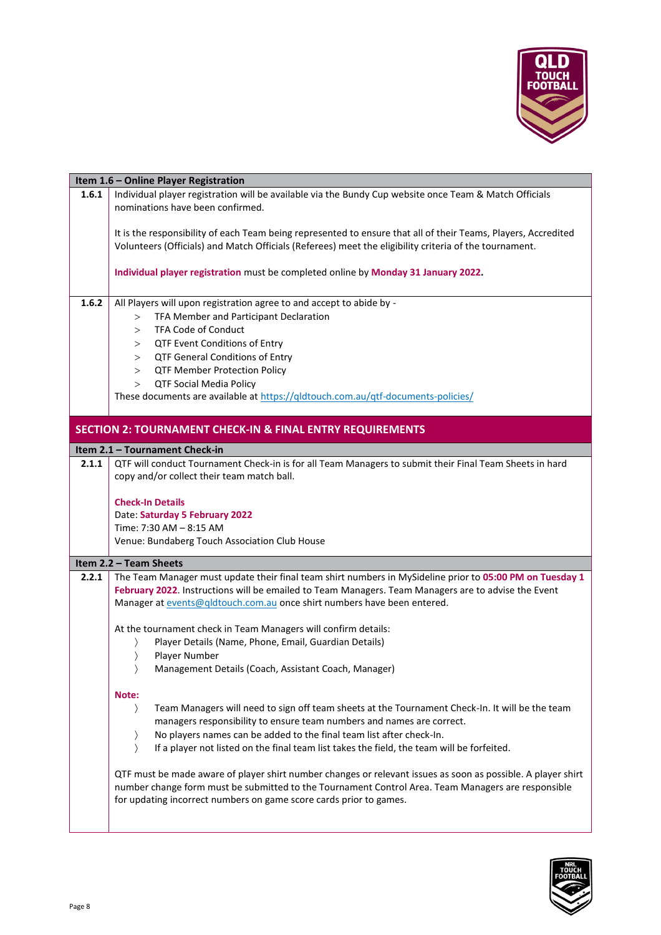

<span id="page-7-3"></span><span id="page-7-2"></span><span id="page-7-1"></span><span id="page-7-0"></span>

|       | Item 1.6 - Online Player Registration                                                                                                                                                                                                                                                                                                                                                                     |
|-------|-----------------------------------------------------------------------------------------------------------------------------------------------------------------------------------------------------------------------------------------------------------------------------------------------------------------------------------------------------------------------------------------------------------|
| 1.6.1 | Individual player registration will be available via the Bundy Cup website once Team & Match Officials<br>nominations have been confirmed.                                                                                                                                                                                                                                                                |
|       | It is the responsibility of each Team being represented to ensure that all of their Teams, Players, Accredited<br>Volunteers (Officials) and Match Officials (Referees) meet the eligibility criteria of the tournament.                                                                                                                                                                                  |
|       | Individual player registration must be completed online by Monday 31 January 2022.                                                                                                                                                                                                                                                                                                                        |
| 1.6.2 | All Players will upon registration agree to and accept to abide by -<br>TFA Member and Participant Declaration<br>><br>TFA Code of Conduct<br>$\geq$<br>QTF Event Conditions of Entry<br>><br>QTF General Conditions of Entry<br>><br><b>QTF Member Protection Policy</b><br>><br><b>QTF Social Media Policy</b><br>><br>These documents are available at https://gldtouch.com.au/gtf-documents-policies/ |
|       | <b>SECTION 2: TOURNAMENT CHECK-IN &amp; FINAL ENTRY REQUIREMENTS</b>                                                                                                                                                                                                                                                                                                                                      |
|       | Item 2.1 - Tournament Check-in                                                                                                                                                                                                                                                                                                                                                                            |
| 2.1.1 | QTF will conduct Tournament Check-in is for all Team Managers to submit their Final Team Sheets in hard<br>copy and/or collect their team match ball.                                                                                                                                                                                                                                                     |
|       | <b>Check-In Details</b>                                                                                                                                                                                                                                                                                                                                                                                   |
|       | Date: Saturday 5 February 2022<br>Time: 7:30 AM - 8:15 AM                                                                                                                                                                                                                                                                                                                                                 |
|       | Venue: Bundaberg Touch Association Club House                                                                                                                                                                                                                                                                                                                                                             |
|       |                                                                                                                                                                                                                                                                                                                                                                                                           |
|       | Item 2.2 - Team Sheets                                                                                                                                                                                                                                                                                                                                                                                    |
| 2.2.1 | The Team Manager must update their final team shirt numbers in MySideline prior to 05:00 PM on Tuesday 1<br>February 2022. Instructions will be emailed to Team Managers. Team Managers are to advise the Event<br>Manager at events@qldtouch.com.au once shirt numbers have been entered.                                                                                                                |
|       | At the tournament check in Team Managers will confirm details:                                                                                                                                                                                                                                                                                                                                            |
|       | Player Details (Name, Phone, Email, Guardian Details)                                                                                                                                                                                                                                                                                                                                                     |
|       | Player Number                                                                                                                                                                                                                                                                                                                                                                                             |
|       | Management Details (Coach, Assistant Coach, Manager)                                                                                                                                                                                                                                                                                                                                                      |
|       | Note:                                                                                                                                                                                                                                                                                                                                                                                                     |
|       | Team Managers will need to sign off team sheets at the Tournament Check-In. It will be the team<br>$\rangle$                                                                                                                                                                                                                                                                                              |
|       | managers responsibility to ensure team numbers and names are correct.                                                                                                                                                                                                                                                                                                                                     |
|       | No players names can be added to the final team list after check-In.                                                                                                                                                                                                                                                                                                                                      |
|       | If a player not listed on the final team list takes the field, the team will be forfeited.                                                                                                                                                                                                                                                                                                                |
|       | QTF must be made aware of player shirt number changes or relevant issues as soon as possible. A player shirt<br>number change form must be submitted to the Tournament Control Area. Team Managers are responsible<br>for updating incorrect numbers on game score cards prior to games.                                                                                                                  |

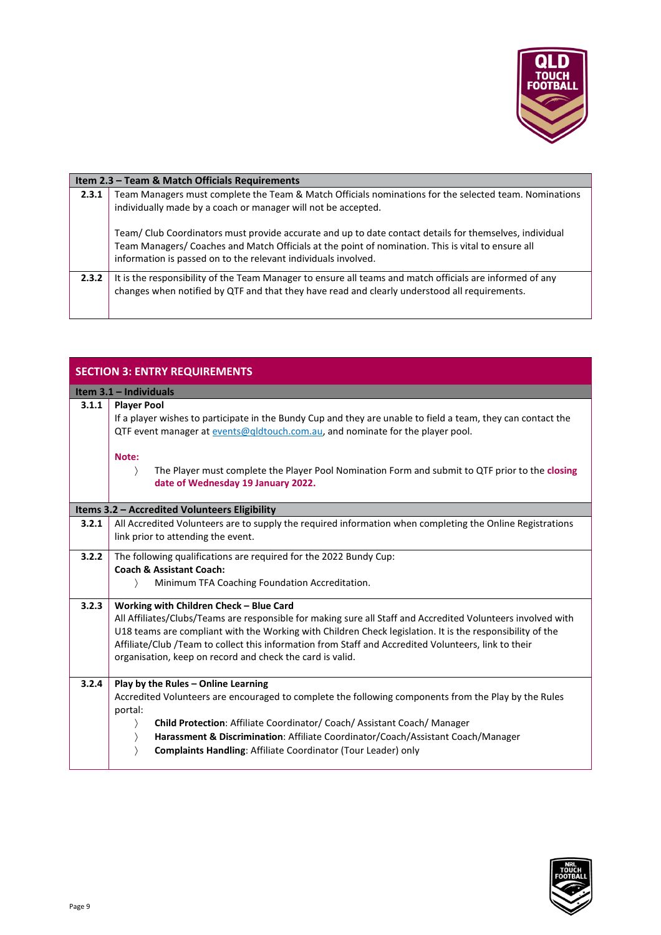

<span id="page-8-0"></span>

|       | Item 2.3 - Team & Match Officials Requirements                                                                                                                                                                                                                                  |
|-------|---------------------------------------------------------------------------------------------------------------------------------------------------------------------------------------------------------------------------------------------------------------------------------|
| 2.3.1 | Team Managers must complete the Team & Match Officials nominations for the selected team. Nominations<br>individually made by a coach or manager will not be accepted.                                                                                                          |
|       | Team/ Club Coordinators must provide accurate and up to date contact details for themselves, individual<br>Team Managers/ Coaches and Match Officials at the point of nomination. This is vital to ensure all<br>information is passed on to the relevant individuals involved. |
| 2.3.2 | It is the responsibility of the Team Manager to ensure all teams and match officials are informed of any<br>changes when notified by QTF and that they have read and clearly understood all requirements.                                                                       |

<span id="page-8-3"></span><span id="page-8-2"></span><span id="page-8-1"></span>

|       | <b>SECTION 3: ENTRY REQUIREMENTS</b>                                                                                                                                                                                                                                                                                                                                                                                                      |
|-------|-------------------------------------------------------------------------------------------------------------------------------------------------------------------------------------------------------------------------------------------------------------------------------------------------------------------------------------------------------------------------------------------------------------------------------------------|
|       | Item 3.1 - Individuals                                                                                                                                                                                                                                                                                                                                                                                                                    |
| 3.1.1 | <b>Player Pool</b><br>If a player wishes to participate in the Bundy Cup and they are unable to field a team, they can contact the<br>QTF event manager at events@qldtouch.com.au, and nominate for the player pool.                                                                                                                                                                                                                      |
|       | Note:<br>$\rangle$<br>The Player must complete the Player Pool Nomination Form and submit to QTF prior to the closing<br>date of Wednesday 19 January 2022.                                                                                                                                                                                                                                                                               |
|       | Items 3.2 - Accredited Volunteers Eligibility                                                                                                                                                                                                                                                                                                                                                                                             |
| 3.2.1 | All Accredited Volunteers are to supply the required information when completing the Online Registrations<br>link prior to attending the event.                                                                                                                                                                                                                                                                                           |
| 3.2.2 | The following qualifications are required for the 2022 Bundy Cup:<br><b>Coach &amp; Assistant Coach:</b><br>Minimum TFA Coaching Foundation Accreditation.<br>$\left\langle \right\rangle$                                                                                                                                                                                                                                                |
| 3.2.3 | Working with Children Check - Blue Card<br>All Affiliates/Clubs/Teams are responsible for making sure all Staff and Accredited Volunteers involved with<br>U18 teams are compliant with the Working with Children Check legislation. It is the responsibility of the<br>Affiliate/Club /Team to collect this information from Staff and Accredited Volunteers, link to their<br>organisation, keep on record and check the card is valid. |
| 3.2.4 | Play by the Rules - Online Learning<br>Accredited Volunteers are encouraged to complete the following components from the Play by the Rules<br>portal:<br>Child Protection: Affiliate Coordinator/ Coach/ Assistant Coach/ Manager<br>$\rangle$<br>Harassment & Discrimination: Affiliate Coordinator/Coach/Assistant Coach/Manager<br><b>Complaints Handling: Affiliate Coordinator (Tour Leader) only</b>                               |

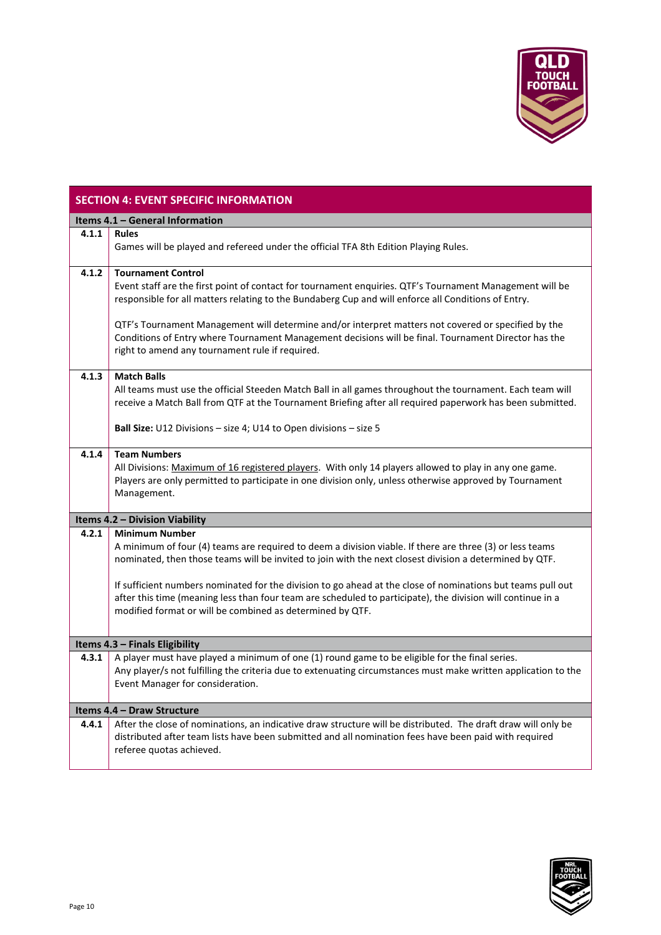

### <span id="page-9-0"></span>**SECTION 4: EVENT SPECIFIC INFORMATION**

<span id="page-9-3"></span><span id="page-9-2"></span><span id="page-9-1"></span>

|       | Items 4.1 - General Information                                                                                |
|-------|----------------------------------------------------------------------------------------------------------------|
| 4.1.1 | <b>Rules</b>                                                                                                   |
|       | Games will be played and refereed under the official TFA 8th Edition Playing Rules.                            |
|       |                                                                                                                |
| 4.1.2 | <b>Tournament Control</b>                                                                                      |
|       | Event staff are the first point of contact for tournament enquiries. QTF's Tournament Management will be       |
|       |                                                                                                                |
|       | responsible for all matters relating to the Bundaberg Cup and will enforce all Conditions of Entry.            |
|       |                                                                                                                |
|       | QTF's Tournament Management will determine and/or interpret matters not covered or specified by the            |
|       | Conditions of Entry where Tournament Management decisions will be final. Tournament Director has the           |
|       | right to amend any tournament rule if required.                                                                |
|       |                                                                                                                |
| 4.1.3 | <b>Match Balls</b>                                                                                             |
|       | All teams must use the official Steeden Match Ball in all games throughout the tournament. Each team will      |
|       | receive a Match Ball from QTF at the Tournament Briefing after all required paperwork has been submitted.      |
|       |                                                                                                                |
|       | <b>Ball Size:</b> U12 Divisions – size 4; U14 to Open divisions – size 5                                       |
|       |                                                                                                                |
| 4.1.4 | <b>Team Numbers</b>                                                                                            |
|       | All Divisions: Maximum of 16 registered players. With only 14 players allowed to play in any one game.         |
|       |                                                                                                                |
|       | Players are only permitted to participate in one division only, unless otherwise approved by Tournament        |
|       | Management.                                                                                                    |
|       |                                                                                                                |
|       | <b>Items 4.2 - Division Viability</b>                                                                          |
| 4.2.1 | <b>Minimum Number</b>                                                                                          |
|       | A minimum of four (4) teams are required to deem a division viable. If there are three (3) or less teams       |
|       | nominated, then those teams will be invited to join with the next closest division a determined by QTF.        |
|       |                                                                                                                |
|       | If sufficient numbers nominated for the division to go ahead at the close of nominations but teams pull out    |
|       | after this time (meaning less than four team are scheduled to participate), the division will continue in a    |
|       | modified format or will be combined as determined by QTF.                                                      |
|       |                                                                                                                |
|       |                                                                                                                |
|       | Items 4.3 - Finals Eligibility                                                                                 |
| 4.3.1 | A player must have played a minimum of one (1) round game to be eligible for the final series.                 |
|       | Any player/s not fulfilling the criteria due to extenuating circumstances must make written application to the |
|       | Event Manager for consideration.                                                                               |
|       |                                                                                                                |
|       | Items 4.4 - Draw Structure                                                                                     |
| 4.4.1 | After the close of nominations, an indicative draw structure will be distributed. The draft draw will only be  |
|       | distributed after team lists have been submitted and all nomination fees have been paid with required          |
|       | referee quotas achieved.                                                                                       |
|       |                                                                                                                |

<span id="page-9-4"></span>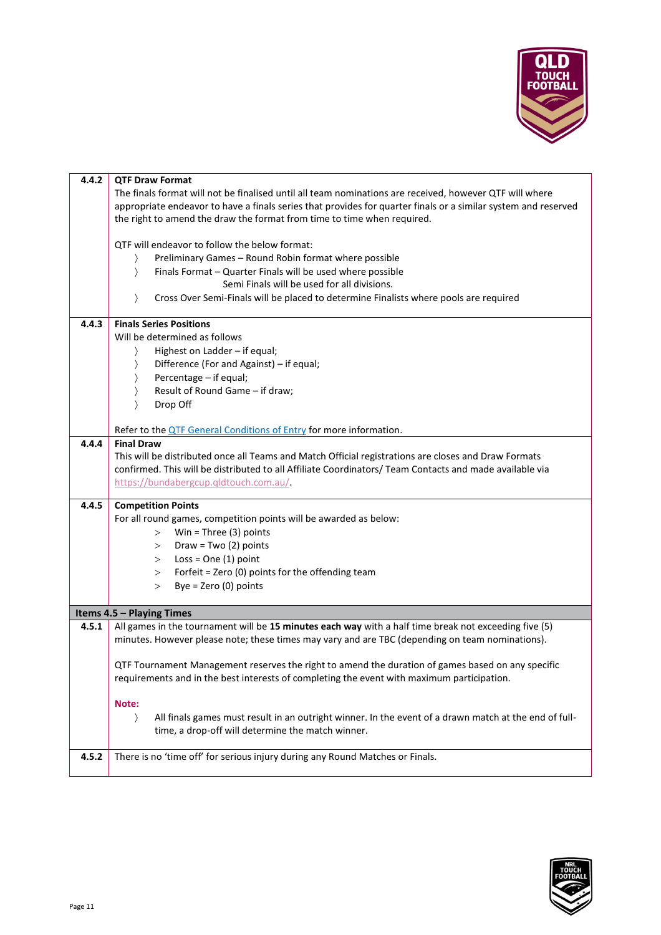

<span id="page-10-0"></span>

| 4.4.2 | <b>QTF Draw Format</b>                                                                                                                                                                          |
|-------|-------------------------------------------------------------------------------------------------------------------------------------------------------------------------------------------------|
|       | The finals format will not be finalised until all team nominations are received, however QTF will where                                                                                         |
|       | appropriate endeavor to have a finals series that provides for quarter finals or a similar system and reserved                                                                                  |
|       | the right to amend the draw the format from time to time when required.                                                                                                                         |
|       |                                                                                                                                                                                                 |
|       | QTF will endeavor to follow the below format:                                                                                                                                                   |
|       | Preliminary Games - Round Robin format where possible                                                                                                                                           |
|       | Finals Format - Quarter Finals will be used where possible<br>$\rangle$                                                                                                                         |
|       | Semi Finals will be used for all divisions.                                                                                                                                                     |
|       | Cross Over Semi-Finals will be placed to determine Finalists where pools are required<br>$\rangle$                                                                                              |
|       |                                                                                                                                                                                                 |
| 4.4.3 | <b>Finals Series Positions</b>                                                                                                                                                                  |
|       | Will be determined as follows                                                                                                                                                                   |
|       | Highest on Ladder - if equal;                                                                                                                                                                   |
|       | Difference (For and Against) - if equal;                                                                                                                                                        |
|       | Percentage - if equal;                                                                                                                                                                          |
|       | Result of Round Game - if draw;                                                                                                                                                                 |
|       |                                                                                                                                                                                                 |
|       | Drop Off                                                                                                                                                                                        |
|       |                                                                                                                                                                                                 |
|       | Refer to the <b>QTF</b> General Conditions of Entry for more information.                                                                                                                       |
| 4.4.4 | <b>Final Draw</b>                                                                                                                                                                               |
|       | This will be distributed once all Teams and Match Official registrations are closes and Draw Formats                                                                                            |
|       | confirmed. This will be distributed to all Affiliate Coordinators/ Team Contacts and made available via                                                                                         |
|       | https://bundabergcup.qldtouch.com.au/                                                                                                                                                           |
| 4.4.5 | <b>Competition Points</b>                                                                                                                                                                       |
|       | For all round games, competition points will be awarded as below:                                                                                                                               |
|       | Win = Three $(3)$ points<br>>                                                                                                                                                                   |
|       | Draw = Two $(2)$ points<br>>                                                                                                                                                                    |
|       | Loss = $One(1)$ point<br>>                                                                                                                                                                      |
|       | Forfeit = Zero (0) points for the offending team<br>>                                                                                                                                           |
|       | Bye = $Zero(0)$ points<br>>                                                                                                                                                                     |
|       |                                                                                                                                                                                                 |
|       | Items 4.5 - Playing Times                                                                                                                                                                       |
|       | All games in the tournament will be 15 minutes each way with a half time break not exceeding five (5)                                                                                           |
| 4.5.1 |                                                                                                                                                                                                 |
|       | minutes. However please note; these times may vary and are TBC (depending on team nominations).                                                                                                 |
|       |                                                                                                                                                                                                 |
|       | QTF Tournament Management reserves the right to amend the duration of games based on any specific<br>requirements and in the best interests of completing the event with maximum participation. |
|       |                                                                                                                                                                                                 |
|       | Note:                                                                                                                                                                                           |
|       |                                                                                                                                                                                                 |
|       | All finals games must result in an outright winner. In the event of a drawn match at the end of full-<br>$\rangle$                                                                              |
|       | time, a drop-off will determine the match winner.                                                                                                                                               |
| 4.5.2 | There is no 'time off' for serious injury during any Round Matches or Finals.                                                                                                                   |
|       |                                                                                                                                                                                                 |
|       |                                                                                                                                                                                                 |

<span id="page-10-1"></span>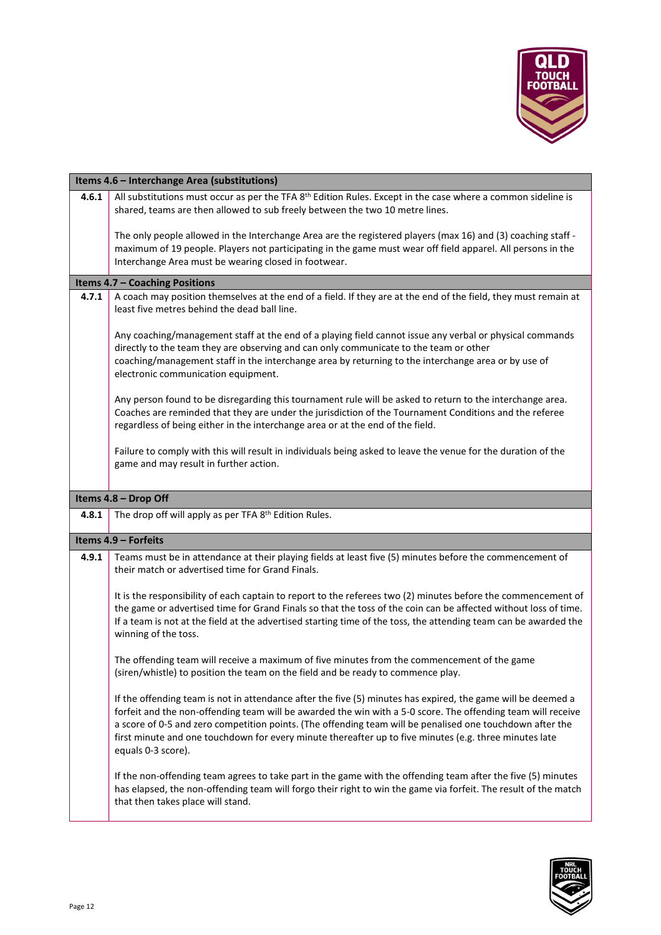

<span id="page-11-2"></span><span id="page-11-1"></span><span id="page-11-0"></span>

|       | Items 4.6 - Interchange Area (substitutions)                                                                                                                                                                                                                                                                                                                                                                                                                              |
|-------|---------------------------------------------------------------------------------------------------------------------------------------------------------------------------------------------------------------------------------------------------------------------------------------------------------------------------------------------------------------------------------------------------------------------------------------------------------------------------|
| 4.6.1 | All substitutions must occur as per the TFA 8 <sup>th</sup> Edition Rules. Except in the case where a common sideline is<br>shared, teams are then allowed to sub freely between the two 10 metre lines.<br>The only people allowed in the Interchange Area are the registered players (max 16) and (3) coaching staff -                                                                                                                                                  |
|       | maximum of 19 people. Players not participating in the game must wear off field apparel. All persons in the<br>Interchange Area must be wearing closed in footwear.                                                                                                                                                                                                                                                                                                       |
|       | Items 4.7 - Coaching Positions                                                                                                                                                                                                                                                                                                                                                                                                                                            |
| 4.7.1 | A coach may position themselves at the end of a field. If they are at the end of the field, they must remain at<br>least five metres behind the dead ball line.                                                                                                                                                                                                                                                                                                           |
|       | Any coaching/management staff at the end of a playing field cannot issue any verbal or physical commands<br>directly to the team they are observing and can only communicate to the team or other<br>coaching/management staff in the interchange area by returning to the interchange area or by use of<br>electronic communication equipment.                                                                                                                           |
|       | Any person found to be disregarding this tournament rule will be asked to return to the interchange area.<br>Coaches are reminded that they are under the jurisdiction of the Tournament Conditions and the referee<br>regardless of being either in the interchange area or at the end of the field.                                                                                                                                                                     |
|       | Failure to comply with this will result in individuals being asked to leave the venue for the duration of the<br>game and may result in further action.                                                                                                                                                                                                                                                                                                                   |
|       | Items 4.8 - Drop Off                                                                                                                                                                                                                                                                                                                                                                                                                                                      |
| 4.8.1 | The drop off will apply as per TFA 8th Edition Rules.                                                                                                                                                                                                                                                                                                                                                                                                                     |
|       |                                                                                                                                                                                                                                                                                                                                                                                                                                                                           |
|       | Items 4.9 - Forfeits                                                                                                                                                                                                                                                                                                                                                                                                                                                      |
| 4.9.1 | Teams must be in attendance at their playing fields at least five (5) minutes before the commencement of<br>their match or advertised time for Grand Finals.                                                                                                                                                                                                                                                                                                              |
|       | It is the responsibility of each captain to report to the referees two (2) minutes before the commencement of<br>the game or advertised time for Grand Finals so that the toss of the coin can be affected without loss of time.<br>If a team is not at the field at the advertised starting time of the toss, the attending team can be awarded the<br>winning of the toss.                                                                                              |
|       | The offending team will receive a maximum of five minutes from the commencement of the game<br>(siren/whistle) to position the team on the field and be ready to commence play.                                                                                                                                                                                                                                                                                           |
|       | If the offending team is not in attendance after the five (5) minutes has expired, the game will be deemed a<br>forfeit and the non-offending team will be awarded the win with a 5-0 score. The offending team will receive<br>a score of 0-5 and zero competition points. (The offending team will be penalised one touchdown after the<br>first minute and one touchdown for every minute thereafter up to five minutes (e.g. three minutes late<br>equals 0-3 score). |
|       | If the non-offending team agrees to take part in the game with the offending team after the five (5) minutes<br>has elapsed, the non-offending team will forgo their right to win the game via forfeit. The result of the match<br>that then takes place will stand.                                                                                                                                                                                                      |

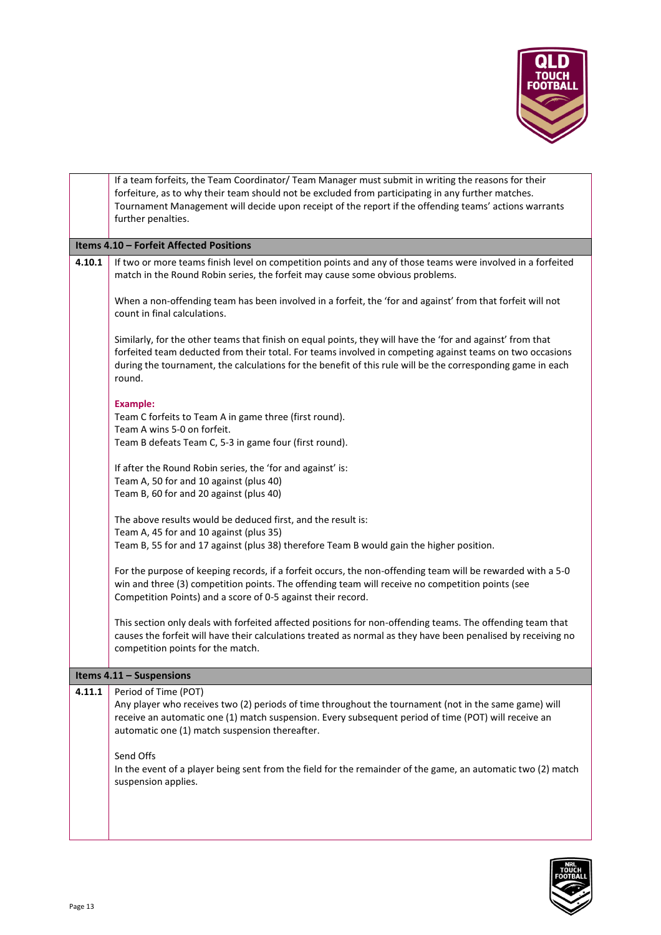

<span id="page-12-0"></span>

|        | If a team forfeits, the Team Coordinator/ Team Manager must submit in writing the reasons for their                                                                                                                         |
|--------|-----------------------------------------------------------------------------------------------------------------------------------------------------------------------------------------------------------------------------|
|        | forfeiture, as to why their team should not be excluded from participating in any further matches.                                                                                                                          |
|        | Tournament Management will decide upon receipt of the report if the offending teams' actions warrants                                                                                                                       |
|        | further penalties.                                                                                                                                                                                                          |
|        | Items 4.10 - Forfeit Affected Positions                                                                                                                                                                                     |
| 4.10.1 | If two or more teams finish level on competition points and any of those teams were involved in a forfeited                                                                                                                 |
|        | match in the Round Robin series, the forfeit may cause some obvious problems.                                                                                                                                               |
|        |                                                                                                                                                                                                                             |
|        | When a non-offending team has been involved in a forfeit, the 'for and against' from that forfeit will not<br>count in final calculations.                                                                                  |
|        |                                                                                                                                                                                                                             |
|        | Similarly, for the other teams that finish on equal points, they will have the 'for and against' from that                                                                                                                  |
|        | forfeited team deducted from their total. For teams involved in competing against teams on two occasions                                                                                                                    |
|        | during the tournament, the calculations for the benefit of this rule will be the corresponding game in each                                                                                                                 |
|        | round.                                                                                                                                                                                                                      |
|        | <b>Example:</b>                                                                                                                                                                                                             |
|        | Team C forfeits to Team A in game three (first round).                                                                                                                                                                      |
|        | Team A wins 5-0 on forfeit.                                                                                                                                                                                                 |
|        | Team B defeats Team C, 5-3 in game four (first round).                                                                                                                                                                      |
|        |                                                                                                                                                                                                                             |
|        | If after the Round Robin series, the 'for and against' is:<br>Team A, 50 for and 10 against (plus 40)                                                                                                                       |
|        | Team B, 60 for and 20 against (plus 40)                                                                                                                                                                                     |
|        |                                                                                                                                                                                                                             |
|        | The above results would be deduced first, and the result is:                                                                                                                                                                |
|        | Team A, 45 for and 10 against (plus 35)                                                                                                                                                                                     |
|        | Team B, 55 for and 17 against (plus 38) therefore Team B would gain the higher position.                                                                                                                                    |
|        | For the purpose of keeping records, if a forfeit occurs, the non-offending team will be rewarded with a 5-0                                                                                                                 |
|        | win and three (3) competition points. The offending team will receive no competition points (see                                                                                                                            |
|        | Competition Points) and a score of 0-5 against their record.                                                                                                                                                                |
|        |                                                                                                                                                                                                                             |
|        | This section only deals with forfeited affected positions for non-offending teams. The offending team that<br>causes the forfeit will have their calculations treated as normal as they have been penalised by receiving no |
|        | competition points for the match.                                                                                                                                                                                           |
|        |                                                                                                                                                                                                                             |
|        | Items 4.11 - Suspensions                                                                                                                                                                                                    |
| 4.11.1 | Period of Time (POT)                                                                                                                                                                                                        |
|        | Any player who receives two (2) periods of time throughout the tournament (not in the same game) will                                                                                                                       |
|        | receive an automatic one (1) match suspension. Every subsequent period of time (POT) will receive an<br>automatic one (1) match suspension thereafter.                                                                      |
|        |                                                                                                                                                                                                                             |
|        | Send Offs                                                                                                                                                                                                                   |
|        | In the event of a player being sent from the field for the remainder of the game, an automatic two (2) match                                                                                                                |
|        | suspension applies.                                                                                                                                                                                                         |
|        |                                                                                                                                                                                                                             |
|        |                                                                                                                                                                                                                             |
|        |                                                                                                                                                                                                                             |



<span id="page-12-1"></span>I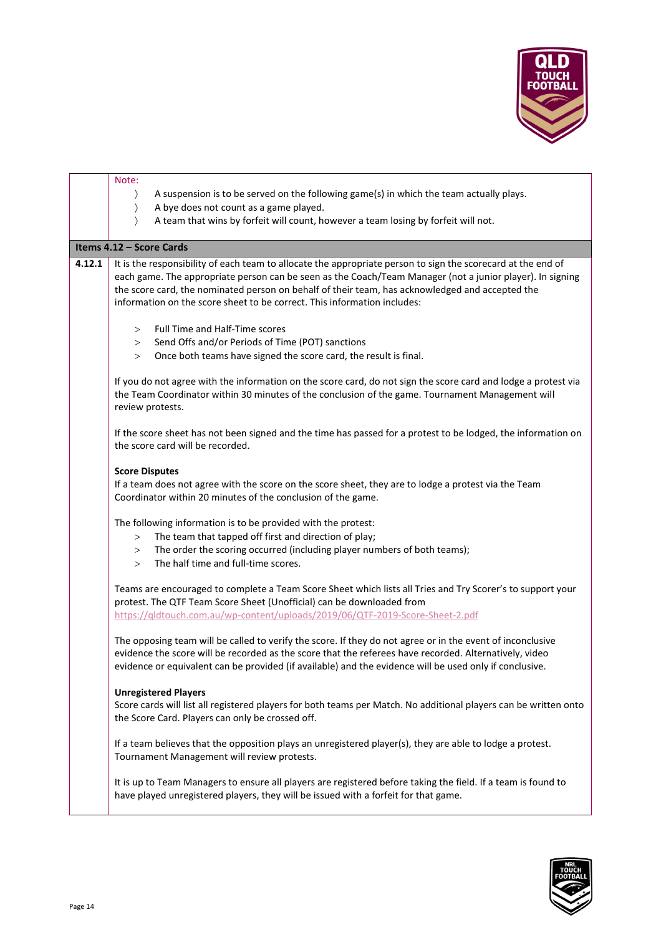

<span id="page-13-0"></span>

|        | Note:                                                                                                                                                                                                                                                                                                                           |
|--------|---------------------------------------------------------------------------------------------------------------------------------------------------------------------------------------------------------------------------------------------------------------------------------------------------------------------------------|
|        | A suspension is to be served on the following game(s) in which the team actually plays.<br>$\rangle$                                                                                                                                                                                                                            |
|        | A bye does not count as a game played.<br>$\rangle$                                                                                                                                                                                                                                                                             |
|        | A team that wins by forfeit will count, however a team losing by forfeit will not.<br>$\left\langle \right\rangle$                                                                                                                                                                                                              |
|        | Items 4.12 - Score Cards                                                                                                                                                                                                                                                                                                        |
| 4.12.1 | It is the responsibility of each team to allocate the appropriate person to sign the scorecard at the end of                                                                                                                                                                                                                    |
|        | each game. The appropriate person can be seen as the Coach/Team Manager (not a junior player). In signing<br>the score card, the nominated person on behalf of their team, has acknowledged and accepted the<br>information on the score sheet to be correct. This information includes:                                        |
|        | Full Time and Half-Time scores<br>>                                                                                                                                                                                                                                                                                             |
|        | Send Offs and/or Periods of Time (POT) sanctions<br>>                                                                                                                                                                                                                                                                           |
|        | Once both teams have signed the score card, the result is final.<br>>                                                                                                                                                                                                                                                           |
|        |                                                                                                                                                                                                                                                                                                                                 |
|        | If you do not agree with the information on the score card, do not sign the score card and lodge a protest via<br>the Team Coordinator within 30 minutes of the conclusion of the game. Tournament Management will<br>review protests.                                                                                          |
|        | If the score sheet has not been signed and the time has passed for a protest to be lodged, the information on<br>the score card will be recorded.                                                                                                                                                                               |
|        | <b>Score Disputes</b>                                                                                                                                                                                                                                                                                                           |
|        | If a team does not agree with the score on the score sheet, they are to lodge a protest via the Team<br>Coordinator within 20 minutes of the conclusion of the game.                                                                                                                                                            |
|        | The following information is to be provided with the protest:                                                                                                                                                                                                                                                                   |
|        | The team that tapped off first and direction of play;<br>>                                                                                                                                                                                                                                                                      |
|        | The order the scoring occurred (including player numbers of both teams);<br>>                                                                                                                                                                                                                                                   |
|        | The half time and full-time scores.<br>>                                                                                                                                                                                                                                                                                        |
|        |                                                                                                                                                                                                                                                                                                                                 |
|        | Teams are encouraged to complete a Team Score Sheet which lists all Tries and Try Scorer's to support your<br>protest. The QTF Team Score Sheet (Unofficial) can be downloaded from<br>https://qldtouch.com.au/wp-content/uploads/2019/06/QTF-2019-Score-Sheet-2.pdf                                                            |
|        |                                                                                                                                                                                                                                                                                                                                 |
|        | The opposing team will be called to verify the score. If they do not agree or in the event of inconclusive<br>evidence the score will be recorded as the score that the referees have recorded. Alternatively, video<br>evidence or equivalent can be provided (if available) and the evidence will be used only if conclusive. |
|        | <b>Unregistered Players</b>                                                                                                                                                                                                                                                                                                     |
|        | Score cards will list all registered players for both teams per Match. No additional players can be written onto                                                                                                                                                                                                                |
|        | the Score Card. Players can only be crossed off.                                                                                                                                                                                                                                                                                |
|        | If a team believes that the opposition plays an unregistered player(s), they are able to lodge a protest.<br>Tournament Management will review protests.                                                                                                                                                                        |
|        | It is up to Team Managers to ensure all players are registered before taking the field. If a team is found to<br>have played unregistered players, they will be issued with a forfeit for that game.                                                                                                                            |
|        |                                                                                                                                                                                                                                                                                                                                 |

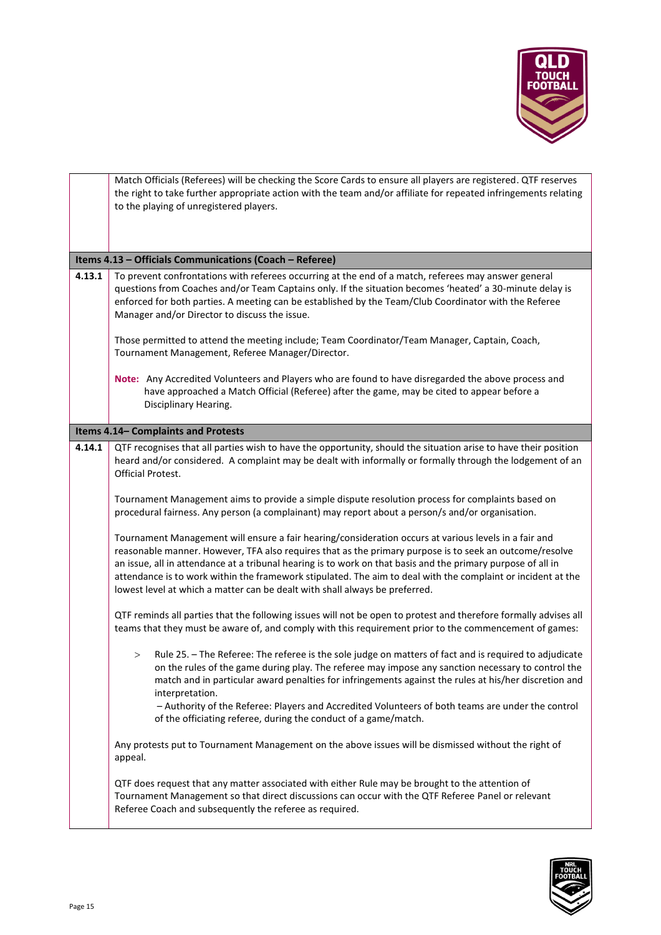

<span id="page-14-1"></span><span id="page-14-0"></span>

|        | Match Officials (Referees) will be checking the Score Cards to ensure all players are registered. QTF reserves<br>the right to take further appropriate action with the team and/or affiliate for repeated infringements relating<br>to the playing of unregistered players.                                                                                                                                                                                                                                                    |
|--------|---------------------------------------------------------------------------------------------------------------------------------------------------------------------------------------------------------------------------------------------------------------------------------------------------------------------------------------------------------------------------------------------------------------------------------------------------------------------------------------------------------------------------------|
|        | Items 4.13 - Officials Communications (Coach - Referee)                                                                                                                                                                                                                                                                                                                                                                                                                                                                         |
| 4.13.1 | To prevent confrontations with referees occurring at the end of a match, referees may answer general<br>questions from Coaches and/or Team Captains only. If the situation becomes 'heated' a 30-minute delay is<br>enforced for both parties. A meeting can be established by the Team/Club Coordinator with the Referee<br>Manager and/or Director to discuss the issue.                                                                                                                                                      |
|        | Those permitted to attend the meeting include; Team Coordinator/Team Manager, Captain, Coach,<br>Tournament Management, Referee Manager/Director.                                                                                                                                                                                                                                                                                                                                                                               |
|        | Note: Any Accredited Volunteers and Players who are found to have disregarded the above process and<br>have approached a Match Official (Referee) after the game, may be cited to appear before a<br>Disciplinary Hearing.                                                                                                                                                                                                                                                                                                      |
|        | Items 4.14- Complaints and Protests                                                                                                                                                                                                                                                                                                                                                                                                                                                                                             |
| 4.14.1 | QTF recognises that all parties wish to have the opportunity, should the situation arise to have their position<br>heard and/or considered. A complaint may be dealt with informally or formally through the lodgement of an<br><b>Official Protest.</b>                                                                                                                                                                                                                                                                        |
|        | Tournament Management aims to provide a simple dispute resolution process for complaints based on<br>procedural fairness. Any person (a complainant) may report about a person/s and/or organisation.                                                                                                                                                                                                                                                                                                                           |
|        | Tournament Management will ensure a fair hearing/consideration occurs at various levels in a fair and<br>reasonable manner. However, TFA also requires that as the primary purpose is to seek an outcome/resolve<br>an issue, all in attendance at a tribunal hearing is to work on that basis and the primary purpose of all in<br>attendance is to work within the framework stipulated. The aim to deal with the complaint or incident at the<br>lowest level at which a matter can be dealt with shall always be preferred. |
|        | QTF reminds all parties that the following issues will not be open to protest and therefore formally advises all<br>teams that they must be aware of, and comply with this requirement prior to the commencement of games:                                                                                                                                                                                                                                                                                                      |
|        | Rule 25. - The Referee: The referee is the sole judge on matters of fact and is required to adjudicate<br>$\geq$<br>on the rules of the game during play. The referee may impose any sanction necessary to control the<br>match and in particular award penalties for infringements against the rules at his/her discretion and<br>interpretation.<br>- Authority of the Referee: Players and Accredited Volunteers of both teams are under the control<br>of the officiating referee, during the conduct of a game/match.      |
|        | Any protests put to Tournament Management on the above issues will be dismissed without the right of<br>appeal.                                                                                                                                                                                                                                                                                                                                                                                                                 |
|        | QTF does request that any matter associated with either Rule may be brought to the attention of<br>Tournament Management so that direct discussions can occur with the QTF Referee Panel or relevant<br>Referee Coach and subsequently the referee as required.                                                                                                                                                                                                                                                                 |

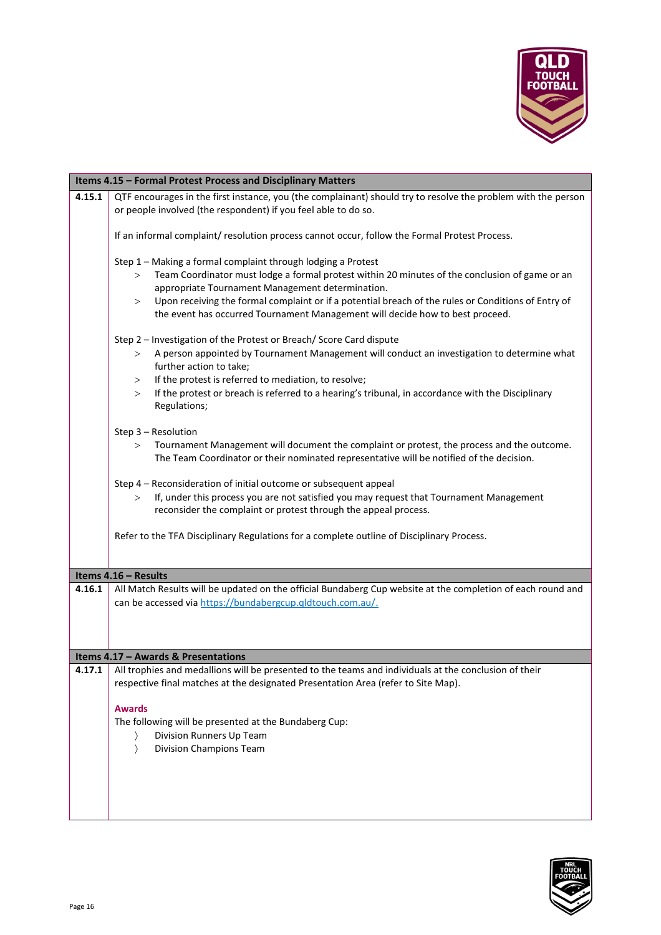

<span id="page-15-2"></span><span id="page-15-1"></span><span id="page-15-0"></span>

|        | Items 4.15 - Formal Protest Process and Disciplinary Matters                                                                                                                                                                                                                                                                                                                                                         |
|--------|----------------------------------------------------------------------------------------------------------------------------------------------------------------------------------------------------------------------------------------------------------------------------------------------------------------------------------------------------------------------------------------------------------------------|
| 4.15.1 | QTF encourages in the first instance, you (the complainant) should try to resolve the problem with the person<br>or people involved (the respondent) if you feel able to do so.                                                                                                                                                                                                                                      |
|        | If an informal complaint/ resolution process cannot occur, follow the Formal Protest Process.                                                                                                                                                                                                                                                                                                                        |
|        | Step 1 - Making a formal complaint through lodging a Protest<br>Team Coordinator must lodge a formal protest within 20 minutes of the conclusion of game or an<br>><br>appropriate Tournament Management determination.<br>Upon receiving the formal complaint or if a potential breach of the rules or Conditions of Entry of<br>><br>the event has occurred Tournament Management will decide how to best proceed. |
|        | Step 2 - Investigation of the Protest or Breach/ Score Card dispute<br>A person appointed by Tournament Management will conduct an investigation to determine what<br>><br>further action to take;<br>If the protest is referred to mediation, to resolve;<br>><br>If the protest or breach is referred to a hearing's tribunal, in accordance with the Disciplinary<br>><br>Regulations;                            |
|        | Step 3 - Resolution<br>Tournament Management will document the complaint or protest, the process and the outcome.<br>><br>The Team Coordinator or their nominated representative will be notified of the decision.                                                                                                                                                                                                   |
|        | Step 4 - Reconsideration of initial outcome or subsequent appeal<br>If, under this process you are not satisfied you may request that Tournament Management<br>$\geq$<br>reconsider the complaint or protest through the appeal process.                                                                                                                                                                             |
|        | Refer to the TFA Disciplinary Regulations for a complete outline of Disciplinary Process.                                                                                                                                                                                                                                                                                                                            |
|        | Items 4.16 - Results                                                                                                                                                                                                                                                                                                                                                                                                 |
| 4.16.1 | All Match Results will be updated on the official Bundaberg Cup website at the completion of each round and<br>can be accessed via https://bundabergcup.qldtouch.com.au/.                                                                                                                                                                                                                                            |
|        | Items 4.17 - Awards & Presentations                                                                                                                                                                                                                                                                                                                                                                                  |
|        | <b>4.17.1</b> All trophies and medallions will be presented to the teams and individuals at the conclusion of their<br>respective final matches at the designated Presentation Area (refer to Site Map).<br><b>Awards</b><br>The following will be presented at the Bundaberg Cup:<br>Division Runners Up Team<br><b>Division Champions Team</b>                                                                     |
|        |                                                                                                                                                                                                                                                                                                                                                                                                                      |

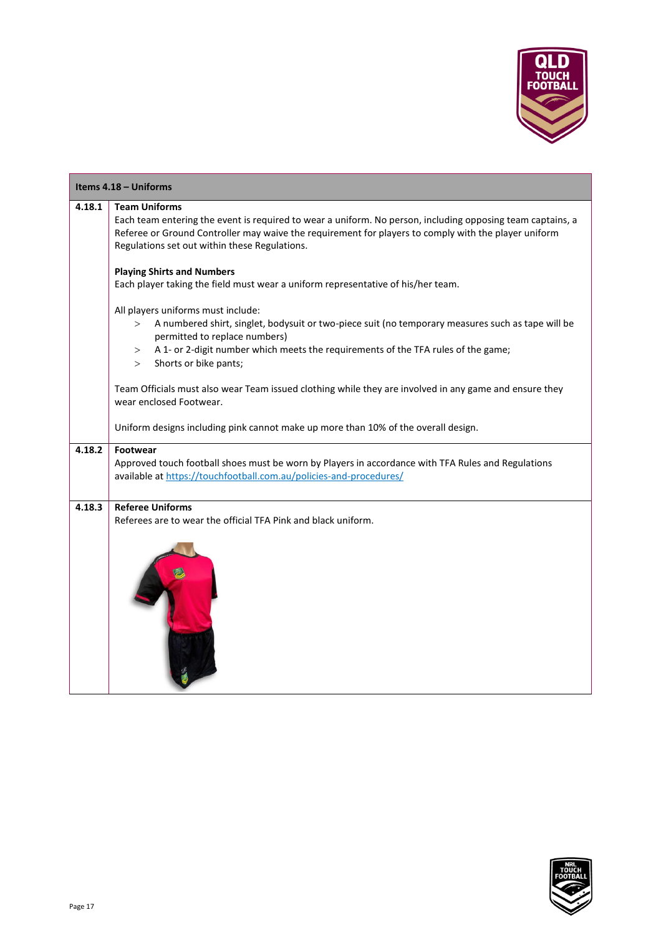

<span id="page-16-0"></span>

| Items 4.18 - Uniforms |                                                                                                                                                                                      |
|-----------------------|--------------------------------------------------------------------------------------------------------------------------------------------------------------------------------------|
| 4.18.1                | <b>Team Uniforms</b>                                                                                                                                                                 |
|                       | Each team entering the event is required to wear a uniform. No person, including opposing team captains, a                                                                           |
|                       | Referee or Ground Controller may waive the requirement for players to comply with the player uniform                                                                                 |
|                       | Regulations set out within these Regulations.                                                                                                                                        |
|                       | <b>Playing Shirts and Numbers</b>                                                                                                                                                    |
|                       | Each player taking the field must wear a uniform representative of his/her team.                                                                                                     |
|                       | All players uniforms must include:                                                                                                                                                   |
|                       | A numbered shirt, singlet, bodysuit or two-piece suit (no temporary measures such as tape will be<br>><br>permitted to replace numbers)                                              |
|                       | A 1- or 2-digit number which meets the requirements of the TFA rules of the game;<br>><br>Shorts or bike pants;<br>$\geq$                                                            |
|                       | Team Officials must also wear Team issued clothing while they are involved in any game and ensure they<br>wear enclosed Footwear.                                                    |
|                       | Uniform designs including pink cannot make up more than 10% of the overall design.                                                                                                   |
| 4.18.2                | Footwear<br>Approved touch football shoes must be worn by Players in accordance with TFA Rules and Regulations<br>available at https://touchfootball.com.au/policies-and-procedures/ |
| 4.18.3                | <b>Referee Uniforms</b><br>Referees are to wear the official TFA Pink and black uniform.                                                                                             |
|                       |                                                                                                                                                                                      |

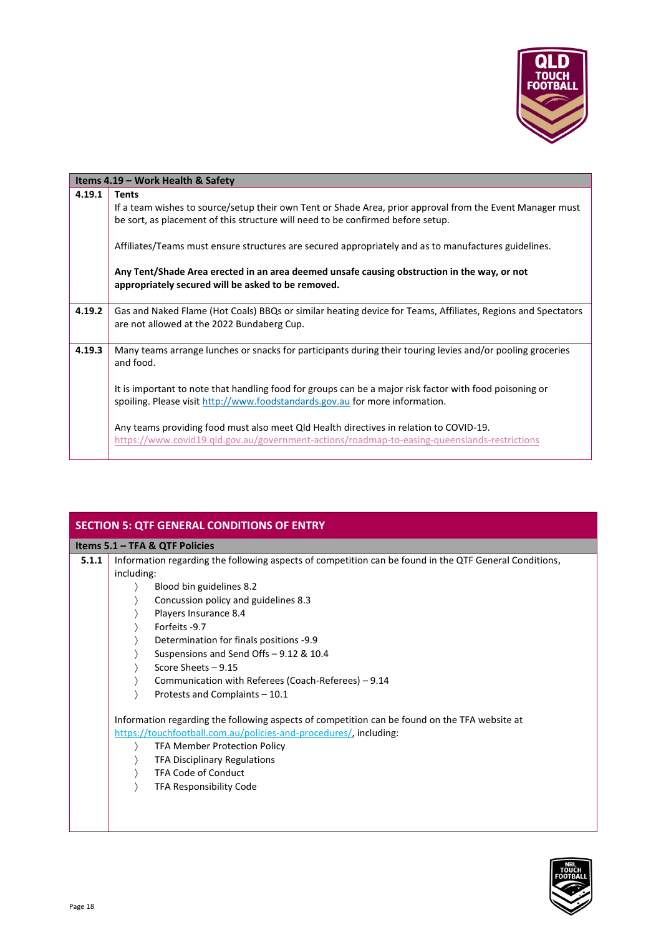

<span id="page-17-0"></span>

| Items 4.19 – Work Health & Safety |                                                                                                                                                                                                                                                                                                                      |
|-----------------------------------|----------------------------------------------------------------------------------------------------------------------------------------------------------------------------------------------------------------------------------------------------------------------------------------------------------------------|
| 4.19.1                            | <b>Tents</b><br>If a team wishes to source/setup their own Tent or Shade Area, prior approval from the Event Manager must<br>be sort, as placement of this structure will need to be confirmed before setup.<br>Affiliates/Teams must ensure structures are secured appropriately and as to manufactures guidelines. |
|                                   | Any Tent/Shade Area erected in an area deemed unsafe causing obstruction in the way, or not<br>appropriately secured will be asked to be removed.                                                                                                                                                                    |
| 4.19.2                            | Gas and Naked Flame (Hot Coals) BBQs or similar heating device for Teams, Affiliates, Regions and Spectators<br>are not allowed at the 2022 Bundaberg Cup.                                                                                                                                                           |
| 4.19.3                            | Many teams arrange lunches or snacks for participants during their touring levies and/or pooling groceries<br>and food.                                                                                                                                                                                              |
|                                   | It is important to note that handling food for groups can be a major risk factor with food poisoning or<br>spoiling. Please visit http://www.foodstandards.gov.au for more information.                                                                                                                              |
|                                   | Any teams providing food must also meet Qld Health directives in relation to COVID-19.<br>https://www.covid19.gld.gov.au/government-actions/roadmap-to-easing-queenslands-restrictions                                                                                                                               |

<span id="page-17-2"></span><span id="page-17-1"></span>

| <b>SECTION 5: QTF GENERAL CONDITIONS OF ENTRY</b> |                                                                                                                                                                                                                                                                                                                                                                                                                                                                                                                                                                                                                                                                                                                                                              |
|---------------------------------------------------|--------------------------------------------------------------------------------------------------------------------------------------------------------------------------------------------------------------------------------------------------------------------------------------------------------------------------------------------------------------------------------------------------------------------------------------------------------------------------------------------------------------------------------------------------------------------------------------------------------------------------------------------------------------------------------------------------------------------------------------------------------------|
|                                                   | Items 5.1 - TFA & QTF Policies                                                                                                                                                                                                                                                                                                                                                                                                                                                                                                                                                                                                                                                                                                                               |
| 5.1.1                                             | Information regarding the following aspects of competition can be found in the QTF General Conditions,<br>including:<br>Blood bin guidelines 8.2<br>Concussion policy and guidelines 8.3<br>Players Insurance 8.4<br>Forfeits -9.7<br>Determination for finals positions -9.9<br>Suspensions and Send Offs - 9.12 & 10.4<br>Score Sheets - 9.15<br>Communication with Referees (Coach-Referees) - 9.14<br>Protests and Complaints - 10.1<br>Information regarding the following aspects of competition can be found on the TFA website at<br>https://touchfootball.com.au/policies-and-procedures/, including:<br><b>TFA Member Protection Policy</b><br><b>TFA Disciplinary Regulations</b><br><b>TFA Code of Conduct</b><br><b>TFA Responsibility Code</b> |



I

 $\overline{\phantom{a}}$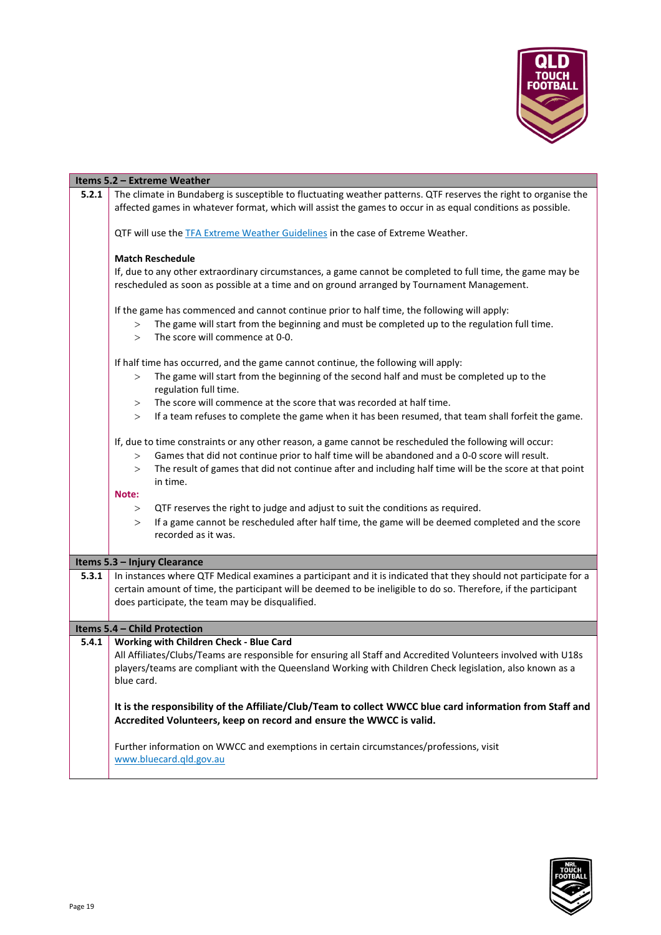

<span id="page-18-2"></span><span id="page-18-1"></span><span id="page-18-0"></span>

|       | Items 5.2 - Extreme Weather                                                                                                           |
|-------|---------------------------------------------------------------------------------------------------------------------------------------|
| 5.2.1 | The climate in Bundaberg is susceptible to fluctuating weather patterns. QTF reserves the right to organise the                       |
|       | affected games in whatever format, which will assist the games to occur in as equal conditions as possible.                           |
|       |                                                                                                                                       |
|       | QTF will use the TFA Extreme Weather Guidelines in the case of Extreme Weather.                                                       |
|       |                                                                                                                                       |
|       | <b>Match Reschedule</b><br>If, due to any other extraordinary circumstances, a game cannot be completed to full time, the game may be |
|       | rescheduled as soon as possible at a time and on ground arranged by Tournament Management.                                            |
|       |                                                                                                                                       |
|       | If the game has commenced and cannot continue prior to half time, the following will apply:                                           |
|       | The game will start from the beginning and must be completed up to the regulation full time.<br>>                                     |
|       | The score will commence at 0-0.<br>$\geq$                                                                                             |
|       |                                                                                                                                       |
|       | If half time has occurred, and the game cannot continue, the following will apply:                                                    |
|       | The game will start from the beginning of the second half and must be completed up to the<br>>                                        |
|       | regulation full time.                                                                                                                 |
|       | The score will commence at the score that was recorded at half time.<br>>                                                             |
|       | If a team refuses to complete the game when it has been resumed, that team shall forfeit the game.<br>$\geq$                          |
|       | If, due to time constraints or any other reason, a game cannot be rescheduled the following will occur:                               |
|       | Games that did not continue prior to half time will be abandoned and a 0-0 score will result.<br>>                                    |
|       | The result of games that did not continue after and including half time will be the score at that point<br>$\geq$                     |
|       | in time.                                                                                                                              |
|       | Note:                                                                                                                                 |
|       | QTF reserves the right to judge and adjust to suit the conditions as required.<br>>                                                   |
|       | If a game cannot be rescheduled after half time, the game will be deemed completed and the score<br>$\geq$                            |
|       | recorded as it was.                                                                                                                   |
|       |                                                                                                                                       |
|       | Items 5.3 - Injury Clearance                                                                                                          |
| 5.3.1 | In instances where QTF Medical examines a participant and it is indicated that they should not participate for a                      |
|       | certain amount of time, the participant will be deemed to be ineligible to do so. Therefore, if the participant                       |
|       | does participate, the team may be disqualified.                                                                                       |
|       | Items 5.4 - Child Protection                                                                                                          |
| 5.4.1 | Working with Children Check - Blue Card                                                                                               |
|       | All Affiliates/Clubs/Teams are responsible for ensuring all Staff and Accredited Volunteers involved with U18s                        |
|       | players/teams are compliant with the Queensland Working with Children Check legislation, also known as a                              |
|       | blue card.                                                                                                                            |
|       |                                                                                                                                       |
|       | It is the responsibility of the Affiliate/Club/Team to collect WWCC blue card information from Staff and                              |
|       | Accredited Volunteers, keep on record and ensure the WWCC is valid.                                                                   |
|       |                                                                                                                                       |
|       | Further information on WWCC and exemptions in certain circumstances/professions, visit<br>www.bluecard.gld.gov.au                     |
|       |                                                                                                                                       |
|       |                                                                                                                                       |

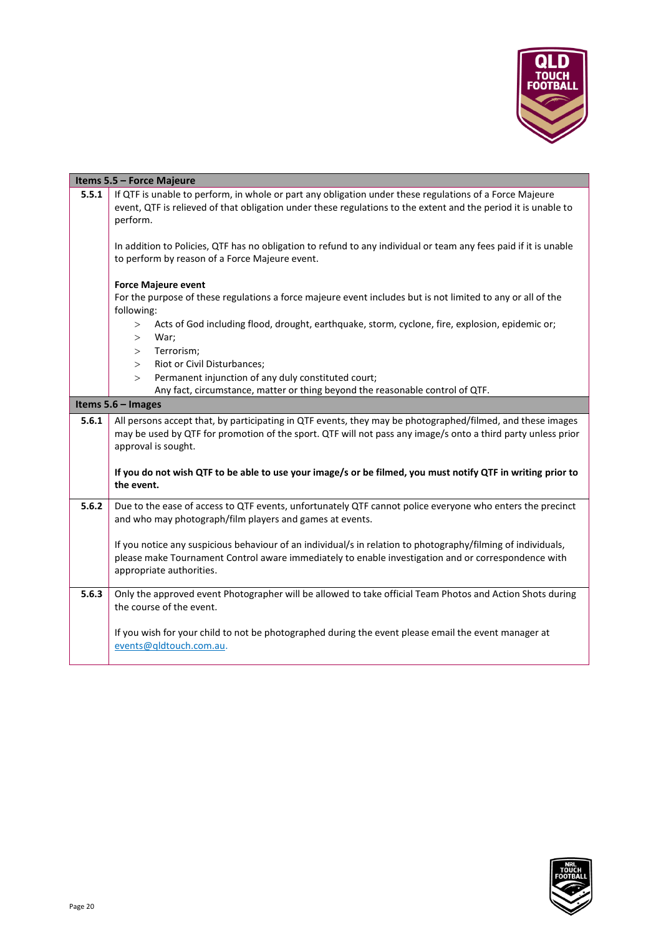

<span id="page-19-2"></span><span id="page-19-1"></span><span id="page-19-0"></span>

|       | Items 5.5 - Force Majeure                                                                                                                                                                                                                       |  |
|-------|-------------------------------------------------------------------------------------------------------------------------------------------------------------------------------------------------------------------------------------------------|--|
| 5.5.1 | If QTF is unable to perform, in whole or part any obligation under these regulations of a Force Majeure<br>event, QTF is relieved of that obligation under these regulations to the extent and the period it is unable to<br>perform.           |  |
|       | In addition to Policies, QTF has no obligation to refund to any individual or team any fees paid if it is unable<br>to perform by reason of a Force Majeure event.                                                                              |  |
|       | <b>Force Majeure event</b>                                                                                                                                                                                                                      |  |
|       | For the purpose of these regulations a force majeure event includes but is not limited to any or all of the<br>following:                                                                                                                       |  |
|       | Acts of God including flood, drought, earthquake, storm, cyclone, fire, explosion, epidemic or;<br>><br>War;<br>$\geq$                                                                                                                          |  |
|       | Terrorism;<br>>                                                                                                                                                                                                                                 |  |
|       | Riot or Civil Disturbances;<br>>                                                                                                                                                                                                                |  |
|       | Permanent injunction of any duly constituted court;<br>$\geq$<br>Any fact, circumstance, matter or thing beyond the reasonable control of QTF.                                                                                                  |  |
|       | Items 5.6 - Images                                                                                                                                                                                                                              |  |
| 5.6.1 | All persons accept that, by participating in QTF events, they may be photographed/filmed, and these images                                                                                                                                      |  |
|       | may be used by QTF for promotion of the sport. QTF will not pass any image/s onto a third party unless prior<br>approval is sought.                                                                                                             |  |
|       | If you do not wish QTF to be able to use your image/s or be filmed, you must notify QTF in writing prior to<br>the event.                                                                                                                       |  |
| 5.6.2 | Due to the ease of access to QTF events, unfortunately QTF cannot police everyone who enters the precinct<br>and who may photograph/film players and games at events.                                                                           |  |
|       | If you notice any suspicious behaviour of an individual/s in relation to photography/filming of individuals,<br>please make Tournament Control aware immediately to enable investigation and or correspondence with<br>appropriate authorities. |  |
| 5.6.3 | Only the approved event Photographer will be allowed to take official Team Photos and Action Shots during<br>the course of the event.                                                                                                           |  |
|       | If you wish for your child to not be photographed during the event please email the event manager at<br>events@qldtouch.com.au.                                                                                                                 |  |
|       |                                                                                                                                                                                                                                                 |  |